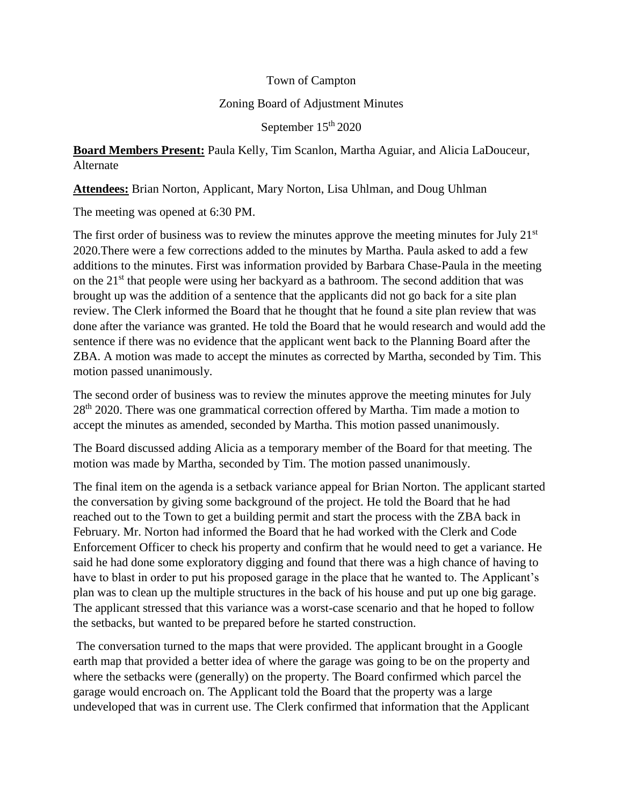## Town of Campton

## Zoning Board of Adjustment Minutes

September 15<sup>th</sup> 2020

**Board Members Present:** Paula Kelly, Tim Scanlon, Martha Aguiar, and Alicia LaDouceur, Alternate

**Attendees:** Brian Norton, Applicant, Mary Norton, Lisa Uhlman, and Doug Uhlman

The meeting was opened at 6:30 PM.

The first order of business was to review the minutes approve the meeting minutes for July  $21<sup>st</sup>$ 2020.There were a few corrections added to the minutes by Martha. Paula asked to add a few additions to the minutes. First was information provided by Barbara Chase-Paula in the meeting on the  $21<sup>st</sup>$  that people were using her backyard as a bathroom. The second addition that was brought up was the addition of a sentence that the applicants did not go back for a site plan review. The Clerk informed the Board that he thought that he found a site plan review that was done after the variance was granted. He told the Board that he would research and would add the sentence if there was no evidence that the applicant went back to the Planning Board after the ZBA. A motion was made to accept the minutes as corrected by Martha, seconded by Tim. This motion passed unanimously.

The second order of business was to review the minutes approve the meeting minutes for July 28<sup>th</sup> 2020. There was one grammatical correction offered by Martha. Tim made a motion to accept the minutes as amended, seconded by Martha. This motion passed unanimously.

The Board discussed adding Alicia as a temporary member of the Board for that meeting. The motion was made by Martha, seconded by Tim. The motion passed unanimously.

The final item on the agenda is a setback variance appeal for Brian Norton. The applicant started the conversation by giving some background of the project. He told the Board that he had reached out to the Town to get a building permit and start the process with the ZBA back in February. Mr. Norton had informed the Board that he had worked with the Clerk and Code Enforcement Officer to check his property and confirm that he would need to get a variance. He said he had done some exploratory digging and found that there was a high chance of having to have to blast in order to put his proposed garage in the place that he wanted to. The Applicant's plan was to clean up the multiple structures in the back of his house and put up one big garage. The applicant stressed that this variance was a worst-case scenario and that he hoped to follow the setbacks, but wanted to be prepared before he started construction.

The conversation turned to the maps that were provided. The applicant brought in a Google earth map that provided a better idea of where the garage was going to be on the property and where the setbacks were (generally) on the property. The Board confirmed which parcel the garage would encroach on. The Applicant told the Board that the property was a large undeveloped that was in current use. The Clerk confirmed that information that the Applicant